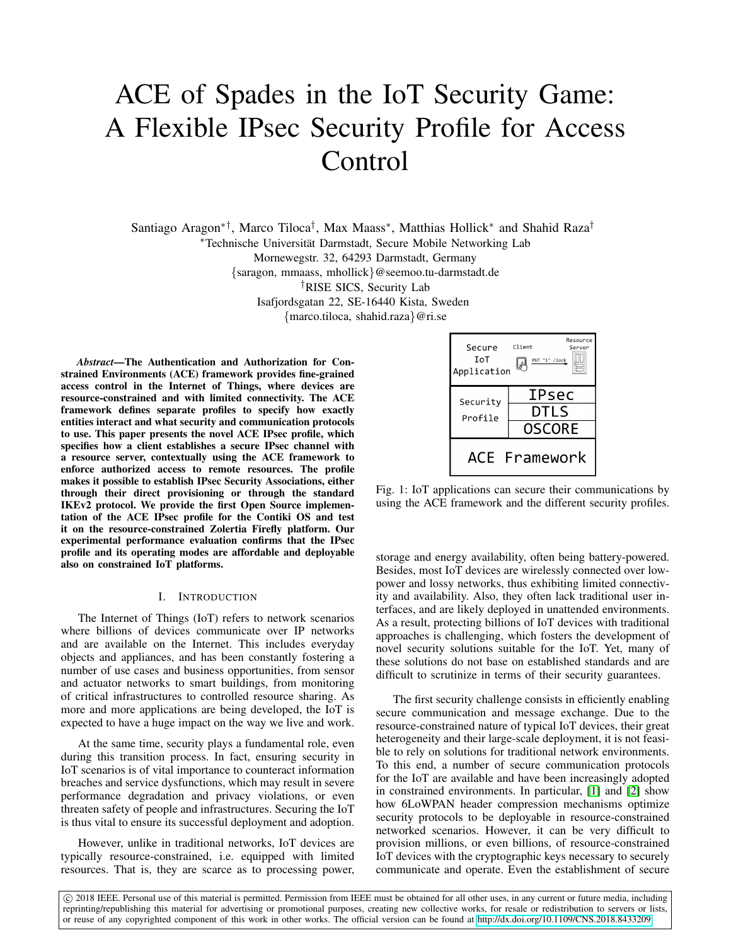# ACE of Spades in the IoT Security Game: A Flexible IPsec Security Profile for Access Control

Santiago Aragon<sup>∗†</sup>, Marco Tiloca<sup>†</sup>, Max Maass<sup>∗</sup>, Matthias Hollick<sup>∗</sup> and Shahid Raza<sup>†</sup> <sup>∗</sup>Technische Universitat Darmstadt, Secure Mobile Networking Lab ¨ Mornewegstr. 32, 64293 Darmstadt, Germany {saragon, mmaass, mhollick}@seemoo.tu-darmstadt.de †RISE SICS, Security Lab Isafjordsgatan 22, SE-16440 Kista, Sweden {marco.tiloca, shahid.raza}@ri.se

*Abstract*—The Authentication and Authorization for Constrained Environments (ACE) framework provides fine-grained access control in the Internet of Things, where devices are resource-constrained and with limited connectivity. The ACE framework defines separate profiles to specify how exactly entities interact and what security and communication protocols to use. This paper presents the novel ACE IPsec profile, which specifies how a client establishes a secure IPsec channel with a resource server, contextually using the ACE framework to enforce authorized access to remote resources. The profile makes it possible to establish IPsec Security Associations, either through their direct provisioning or through the standard IKEv2 protocol. We provide the first Open Source implementation of the ACE IPsec profile for the Contiki OS and test it on the resource-constrained Zolertia Firefly platform. Our experimental performance evaluation confirms that the IPsec profile and its operating modes are affordable and deployable also on constrained IoT platforms.

# I. INTRODUCTION

The Internet of Things (IoT) refers to network scenarios where billions of devices communicate over IP networks and are available on the Internet. This includes everyday objects and appliances, and has been constantly fostering a number of use cases and business opportunities, from sensor and actuator networks to smart buildings, from monitoring of critical infrastructures to controlled resource sharing. As more and more applications are being developed, the IoT is expected to have a huge impact on the way we live and work.

At the same time, security plays a fundamental role, even during this transition process. In fact, ensuring security in IoT scenarios is of vital importance to counteract information breaches and service dysfunctions, which may result in severe performance degradation and privacy violations, or even threaten safety of people and infrastructures. Securing the IoT is thus vital to ensure its successful deployment and adoption.

However, unlike in traditional networks, IoT devices are typically resource-constrained, i.e. equipped with limited resources. That is, they are scarce as to processing power,

<span id="page-0-0"></span>

Fig. 1: IoT applications can secure their communications by using the ACE framework and the different security profiles.

storage and energy availability, often being battery-powered. Besides, most IoT devices are wirelessly connected over lowpower and lossy networks, thus exhibiting limited connectivity and availability. Also, they often lack traditional user interfaces, and are likely deployed in unattended environments. As a result, protecting billions of IoT devices with traditional approaches is challenging, which fosters the development of novel security solutions suitable for the IoT. Yet, many of these solutions do not base on established standards and are difficult to scrutinize in terms of their security guarantees.

The first security challenge consists in efficiently enabling secure communication and message exchange. Due to the resource-constrained nature of typical IoT devices, their great heterogeneity and their large-scale deployment, it is not feasible to rely on solutions for traditional network environments. To this end, a number of secure communication protocols for the IoT are available and have been increasingly adopted in constrained environments. In particular, [\[1\]](#page-8-0) and [\[2\]](#page-8-1) show how 6LoWPAN header compression mechanisms optimize security protocols to be deployable in resource-constrained networked scenarios. However, it can be very difficult to provision millions, or even billions, of resource-constrained IoT devices with the cryptographic keys necessary to securely communicate and operate. Even the establishment of secure

 c 2018 IEEE. Personal use of this material is permitted. Permission from IEEE must be obtained for all other uses, in any current or future media, including reprinting/republishing this material for advertising or promotional purposes, creating new collective works, for resale or redistribution to servers or lists, or reuse of any copyrighted component of this work in other works. The official version can be found at<http://dx.doi.org/10.1109/CNS.2018.8433209>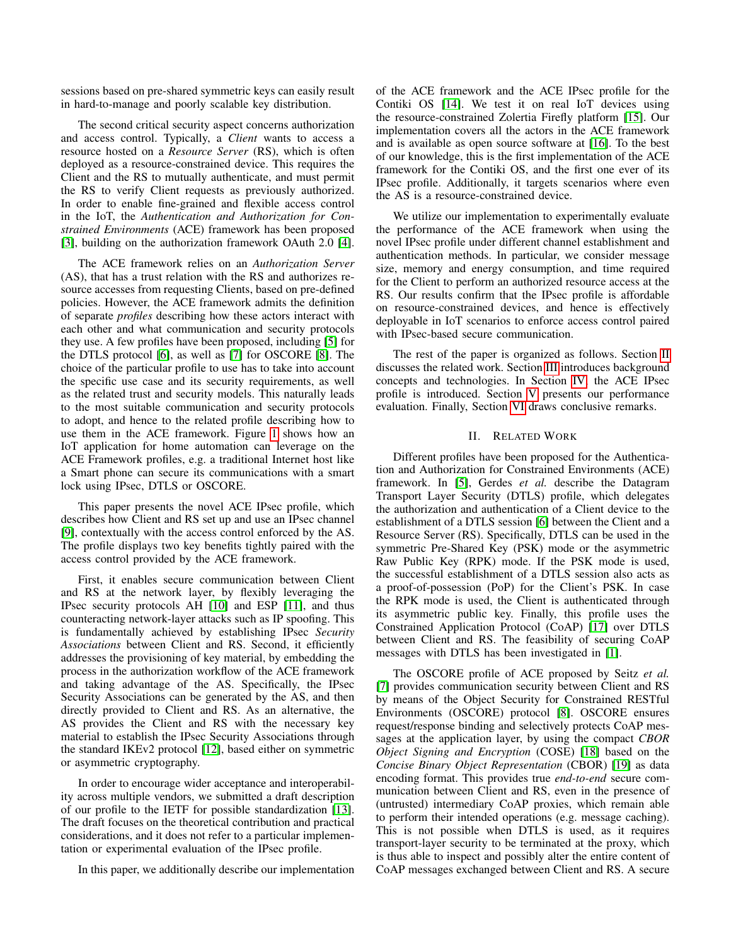sessions based on pre-shared symmetric keys can easily result in hard-to-manage and poorly scalable key distribution.

The second critical security aspect concerns authorization and access control. Typically, a *Client* wants to access a resource hosted on a *Resource Server* (RS), which is often deployed as a resource-constrained device. This requires the Client and the RS to mutually authenticate, and must permit the RS to verify Client requests as previously authorized. In order to enable fine-grained and flexible access control in the IoT, the *Authentication and Authorization for Constrained Environments* (ACE) framework has been proposed [\[3\]](#page-8-2), building on the authorization framework OAuth 2.0 [\[4\]](#page-8-3).

The ACE framework relies on an *Authorization Server* (AS), that has a trust relation with the RS and authorizes resource accesses from requesting Clients, based on pre-defined policies. However, the ACE framework admits the definition of separate *profiles* describing how these actors interact with each other and what communication and security protocols they use. A few profiles have been proposed, including [\[5\]](#page-8-4) for the DTLS protocol [\[6\]](#page-8-5), as well as [\[7\]](#page-8-6) for OSCORE [\[8\]](#page-8-7). The choice of the particular profile to use has to take into account the specific use case and its security requirements, as well as the related trust and security models. This naturally leads to the most suitable communication and security protocols to adopt, and hence to the related profile describing how to use them in the ACE framework. Figure [1](#page-0-0) shows how an IoT application for home automation can leverage on the ACE Framework profiles, e.g. a traditional Internet host like a Smart phone can secure its communications with a smart lock using IPsec, DTLS or OSCORE.

This paper presents the novel ACE IPsec profile, which describes how Client and RS set up and use an IPsec channel [\[9\]](#page-8-8), contextually with the access control enforced by the AS. The profile displays two key benefits tightly paired with the access control provided by the ACE framework.

First, it enables secure communication between Client and RS at the network layer, by flexibly leveraging the IPsec security protocols AH [\[10\]](#page-8-9) and ESP [\[11\]](#page-8-10), and thus counteracting network-layer attacks such as IP spoofing. This is fundamentally achieved by establishing IPsec *Security Associations* between Client and RS. Second, it efficiently addresses the provisioning of key material, by embedding the process in the authorization workflow of the ACE framework and taking advantage of the AS. Specifically, the IPsec Security Associations can be generated by the AS, and then directly provided to Client and RS. As an alternative, the AS provides the Client and RS with the necessary key material to establish the IPsec Security Associations through the standard IKEv2 protocol [\[12\]](#page-8-11), based either on symmetric or asymmetric cryptography.

In order to encourage wider acceptance and interoperability across multiple vendors, we submitted a draft description of our profile to the IETF for possible standardization [\[13\]](#page-8-12). The draft focuses on the theoretical contribution and practical considerations, and it does not refer to a particular implementation or experimental evaluation of the IPsec profile.

In this paper, we additionally describe our implementation

of the ACE framework and the ACE IPsec profile for the Contiki OS [\[14\]](#page-8-13). We test it on real IoT devices using the resource-constrained Zolertia Firefly platform [\[15\]](#page-8-14). Our implementation covers all the actors in the ACE framework and is available as open source software at [\[16\]](#page-8-15). To the best of our knowledge, this is the first implementation of the ACE framework for the Contiki OS, and the first one ever of its IPsec profile. Additionally, it targets scenarios where even the AS is a resource-constrained device.

We utilize our implementation to experimentally evaluate the performance of the ACE framework when using the novel IPsec profile under different channel establishment and authentication methods. In particular, we consider message size, memory and energy consumption, and time required for the Client to perform an authorized resource access at the RS. Our results confirm that the IPsec profile is affordable on resource-constrained devices, and hence is effectively deployable in IoT scenarios to enforce access control paired with IPsec-based secure communication.

The rest of the paper is organized as follows. Section [II](#page-1-0) discusses the related work. Section [III](#page-2-0) introduces background concepts and technologies. In Section [IV,](#page-4-0) the ACE IPsec profile is introduced. Section [V](#page-6-0) presents our performance evaluation. Finally, Section [VI](#page-8-16) draws conclusive remarks.

# II. RELATED WORK

<span id="page-1-0"></span>Different profiles have been proposed for the Authentication and Authorization for Constrained Environments (ACE) framework. In [\[5\]](#page-8-4), Gerdes *et al.* describe the Datagram Transport Layer Security (DTLS) profile, which delegates the authorization and authentication of a Client device to the establishment of a DTLS session [\[6\]](#page-8-5) between the Client and a Resource Server (RS). Specifically, DTLS can be used in the symmetric Pre-Shared Key (PSK) mode or the asymmetric Raw Public Key (RPK) mode. If the PSK mode is used, the successful establishment of a DTLS session also acts as a proof-of-possession (PoP) for the Client's PSK. In case the RPK mode is used, the Client is authenticated through its asymmetric public key. Finally, this profile uses the Constrained Application Protocol (CoAP) [\[17\]](#page-8-17) over DTLS between Client and RS. The feasibility of securing CoAP messages with DTLS has been investigated in [\[1\]](#page-8-0).

The OSCORE profile of ACE proposed by Seitz *et al.* [\[7\]](#page-8-6) provides communication security between Client and RS by means of the Object Security for Constrained RESTful Environments (OSCORE) protocol [\[8\]](#page-8-7). OSCORE ensures request/response binding and selectively protects CoAP messages at the application layer, by using the compact *CBOR Object Signing and Encryption* (COSE) [\[18\]](#page-8-18) based on the *Concise Binary Object Representation* (CBOR) [\[19\]](#page-8-19) as data encoding format. This provides true *end-to-end* secure communication between Client and RS, even in the presence of (untrusted) intermediary CoAP proxies, which remain able to perform their intended operations (e.g. message caching). This is not possible when DTLS is used, as it requires transport-layer security to be terminated at the proxy, which is thus able to inspect and possibly alter the entire content of CoAP messages exchanged between Client and RS. A secure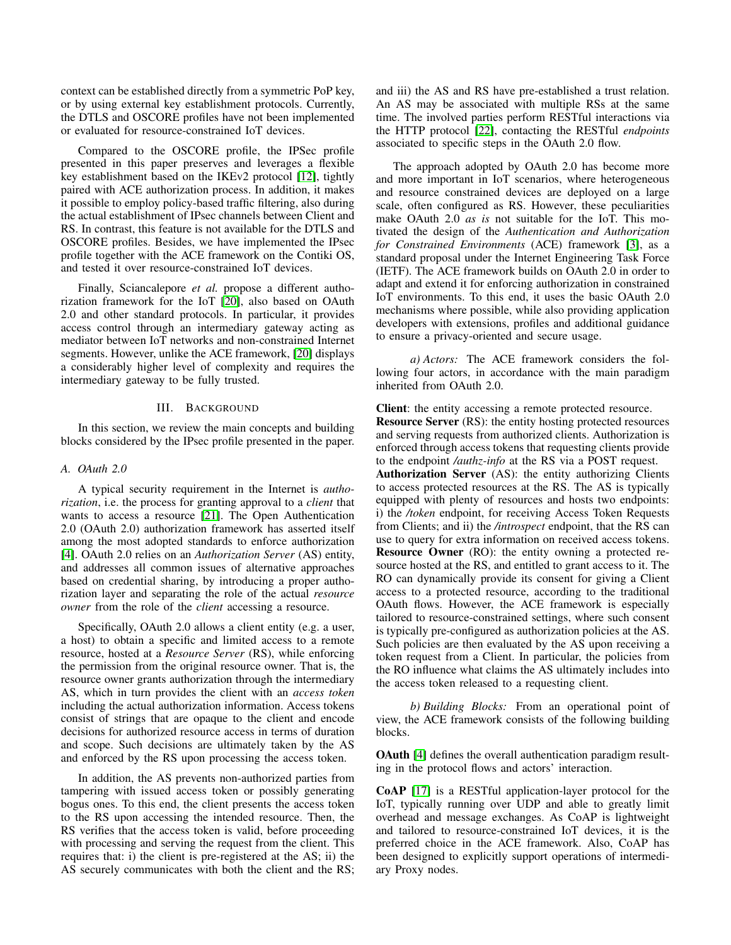context can be established directly from a symmetric PoP key, or by using external key establishment protocols. Currently, the DTLS and OSCORE profiles have not been implemented or evaluated for resource-constrained IoT devices.

Compared to the OSCORE profile, the IPSec profile presented in this paper preserves and leverages a flexible key establishment based on the IKEv2 protocol [\[12\]](#page-8-11), tightly paired with ACE authorization process. In addition, it makes it possible to employ policy-based traffic filtering, also during the actual establishment of IPsec channels between Client and RS. In contrast, this feature is not available for the DTLS and OSCORE profiles. Besides, we have implemented the IPsec profile together with the ACE framework on the Contiki OS, and tested it over resource-constrained IoT devices.

Finally, Sciancalepore *et al.* propose a different authorization framework for the IoT [\[20\]](#page-8-20), also based on OAuth 2.0 and other standard protocols. In particular, it provides access control through an intermediary gateway acting as mediator between IoT networks and non-constrained Internet segments. However, unlike the ACE framework, [\[20\]](#page-8-20) displays a considerably higher level of complexity and requires the intermediary gateway to be fully trusted.

# III. BACKGROUND

<span id="page-2-0"></span>In this section, we review the main concepts and building blocks considered by the IPsec profile presented in the paper.

## *A. OAuth 2.0*

A typical security requirement in the Internet is *authorization*, i.e. the process for granting approval to a *client* that wants to access a resource [\[21\]](#page-8-21). The Open Authentication 2.0 (OAuth 2.0) authorization framework has asserted itself among the most adopted standards to enforce authorization [\[4\]](#page-8-3). OAuth 2.0 relies on an *Authorization Server* (AS) entity, and addresses all common issues of alternative approaches based on credential sharing, by introducing a proper authorization layer and separating the role of the actual *resource owner* from the role of the *client* accessing a resource.

Specifically, OAuth 2.0 allows a client entity (e.g. a user, a host) to obtain a specific and limited access to a remote resource, hosted at a *Resource Server* (RS), while enforcing the permission from the original resource owner. That is, the resource owner grants authorization through the intermediary AS, which in turn provides the client with an *access token* including the actual authorization information. Access tokens consist of strings that are opaque to the client and encode decisions for authorized resource access in terms of duration and scope. Such decisions are ultimately taken by the AS and enforced by the RS upon processing the access token.

In addition, the AS prevents non-authorized parties from tampering with issued access token or possibly generating bogus ones. To this end, the client presents the access token to the RS upon accessing the intended resource. Then, the RS verifies that the access token is valid, before proceeding with processing and serving the request from the client. This requires that: i) the client is pre-registered at the AS; ii) the AS securely communicates with both the client and the RS; and iii) the AS and RS have pre-established a trust relation. An AS may be associated with multiple RSs at the same time. The involved parties perform RESTful interactions via the HTTP protocol [\[22\]](#page-8-22), contacting the RESTful *endpoints* associated to specific steps in the OAuth 2.0 flow.

The approach adopted by OAuth 2.0 has become more and more important in IoT scenarios, where heterogeneous and resource constrained devices are deployed on a large scale, often configured as RS. However, these peculiarities make OAuth 2.0 *as is* not suitable for the IoT. This motivated the design of the *Authentication and Authorization for Constrained Environments* (ACE) framework [\[3\]](#page-8-2), as a standard proposal under the Internet Engineering Task Force (IETF). The ACE framework builds on OAuth 2.0 in order to adapt and extend it for enforcing authorization in constrained IoT environments. To this end, it uses the basic OAuth 2.0 mechanisms where possible, while also providing application developers with extensions, profiles and additional guidance to ensure a privacy-oriented and secure usage.

*a) Actors:* The ACE framework considers the following four actors, in accordance with the main paradigm inherited from OAuth 2.0.

Client: the entity accessing a remote protected resource. Resource Server (RS): the entity hosting protected resources and serving requests from authorized clients. Authorization is enforced through access tokens that requesting clients provide to the endpoint */authz-info* at the RS via a POST request. Authorization Server (AS): the entity authorizing Clients to access protected resources at the RS. The AS is typically equipped with plenty of resources and hosts two endpoints: i) the */token* endpoint, for receiving Access Token Requests from Clients; and ii) the */introspect* endpoint, that the RS can use to query for extra information on received access tokens. Resource Owner (RO): the entity owning a protected resource hosted at the RS, and entitled to grant access to it. The RO can dynamically provide its consent for giving a Client access to a protected resource, according to the traditional OAuth flows. However, the ACE framework is especially tailored to resource-constrained settings, where such consent is typically pre-configured as authorization policies at the AS. Such policies are then evaluated by the AS upon receiving a token request from a Client. In particular, the policies from the RO influence what claims the AS ultimately includes into the access token released to a requesting client.

*b) Building Blocks:* From an operational point of view, the ACE framework consists of the following building blocks.

OAuth [\[4\]](#page-8-3) defines the overall authentication paradigm resulting in the protocol flows and actors' interaction.

CoAP [\[17\]](#page-8-17) is a RESTful application-layer protocol for the IoT, typically running over UDP and able to greatly limit overhead and message exchanges. As CoAP is lightweight and tailored to resource-constrained IoT devices, it is the preferred choice in the ACE framework. Also, CoAP has been designed to explicitly support operations of intermediary Proxy nodes.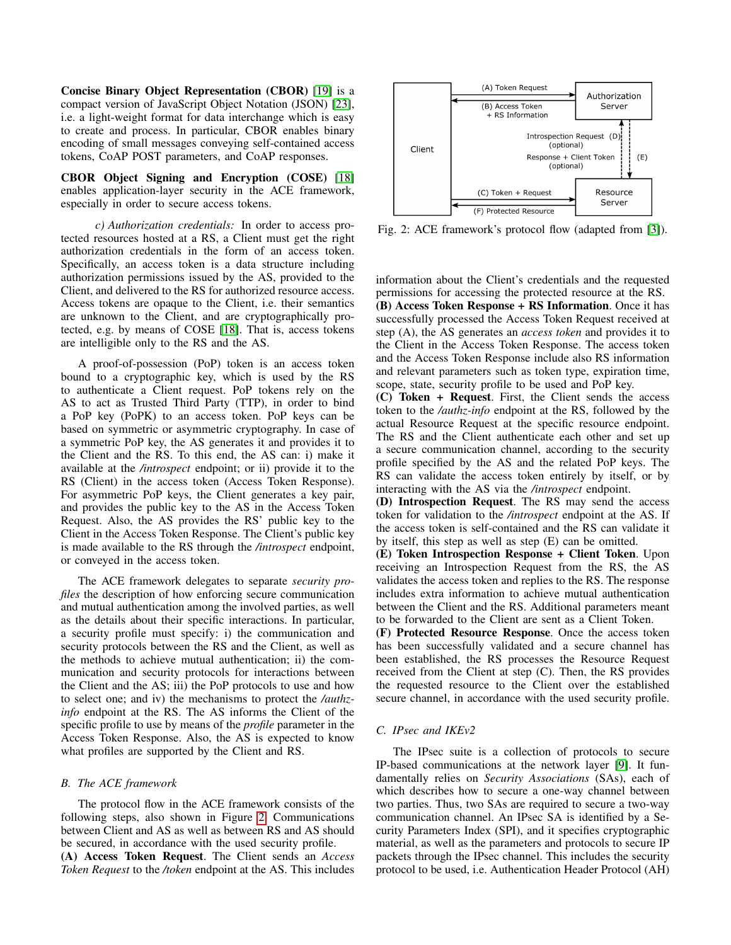Concise Binary Object Representation (CBOR) [\[19\]](#page-8-19) is a compact version of JavaScript Object Notation (JSON) [\[23\]](#page-8-23), i.e. a light-weight format for data interchange which is easy to create and process. In particular, CBOR enables binary encoding of small messages conveying self-contained access tokens, CoAP POST parameters, and CoAP responses.

CBOR Object Signing and Encryption (COSE) [\[18\]](#page-8-18) enables application-layer security in the ACE framework, especially in order to secure access tokens.

*c) Authorization credentials:* In order to access protected resources hosted at a RS, a Client must get the right authorization credentials in the form of an access token. Specifically, an access token is a data structure including authorization permissions issued by the AS, provided to the Client, and delivered to the RS for authorized resource access. Access tokens are opaque to the Client, i.e. their semantics are unknown to the Client, and are cryptographically protected, e.g. by means of COSE [\[18\]](#page-8-18). That is, access tokens are intelligible only to the RS and the AS.

A proof-of-possession (PoP) token is an access token bound to a cryptographic key, which is used by the RS to authenticate a Client request. PoP tokens rely on the AS to act as Trusted Third Party (TTP), in order to bind a PoP key (PoPK) to an access token. PoP keys can be based on symmetric or asymmetric cryptography. In case of a symmetric PoP key, the AS generates it and provides it to the Client and the RS. To this end, the AS can: i) make it available at the */introspect* endpoint; or ii) provide it to the RS (Client) in the access token (Access Token Response). For asymmetric PoP keys, the Client generates a key pair, and provides the public key to the AS in the Access Token Request. Also, the AS provides the RS' public key to the Client in the Access Token Response. The Client's public key is made available to the RS through the */introspect* endpoint, or conveyed in the access token.

The ACE framework delegates to separate *security profiles* the description of how enforcing secure communication and mutual authentication among the involved parties, as well as the details about their specific interactions. In particular, a security profile must specify: i) the communication and security protocols between the RS and the Client, as well as the methods to achieve mutual authentication; ii) the communication and security protocols for interactions between the Client and the AS; iii) the PoP protocols to use and how to select one; and iv) the mechanisms to protect the */authzinfo* endpoint at the RS. The AS informs the Client of the specific profile to use by means of the *profile* parameter in the Access Token Response. Also, the AS is expected to know what profiles are supported by the Client and RS.

# *B. The ACE framework*

The protocol flow in the ACE framework consists of the following steps, also shown in Figure [2.](#page-3-0) Communications between Client and AS as well as between RS and AS should be secured, in accordance with the used security profile. (A) Access Token Request. The Client sends an *Access Token Request* to the */token* endpoint at the AS. This includes

<span id="page-3-0"></span>

Fig. 2: ACE framework's protocol flow (adapted from [\[3\]](#page-8-2)).

information about the Client's credentials and the requested permissions for accessing the protected resource at the RS. (B) Access Token Response + RS Information. Once it has successfully processed the Access Token Request received at step (A), the AS generates an *access token* and provides it to the Client in the Access Token Response. The access token and the Access Token Response include also RS information and relevant parameters such as token type, expiration time, scope, state, security profile to be used and PoP key.

(C) Token + Request. First, the Client sends the access token to the */authz-info* endpoint at the RS, followed by the actual Resource Request at the specific resource endpoint. The RS and the Client authenticate each other and set up a secure communication channel, according to the security profile specified by the AS and the related PoP keys. The RS can validate the access token entirely by itself, or by interacting with the AS via the */introspect* endpoint.

(D) Introspection Request. The RS may send the access token for validation to the */introspect* endpoint at the AS. If the access token is self-contained and the RS can validate it by itself, this step as well as step (E) can be omitted.

(E) Token Introspection Response + Client Token. Upon receiving an Introspection Request from the RS, the AS validates the access token and replies to the RS. The response includes extra information to achieve mutual authentication between the Client and the RS. Additional parameters meant to be forwarded to the Client are sent as a Client Token.

(F) Protected Resource Response. Once the access token has been successfully validated and a secure channel has been established, the RS processes the Resource Request received from the Client at step (C). Then, the RS provides the requested resource to the Client over the established secure channel, in accordance with the used security profile.

# *C. IPsec and IKEv2*

The IPsec suite is a collection of protocols to secure IP-based communications at the network layer [\[9\]](#page-8-8). It fundamentally relies on *Security Associations* (SAs), each of which describes how to secure a one-way channel between two parties. Thus, two SAs are required to secure a two-way communication channel. An IPsec SA is identified by a Security Parameters Index (SPI), and it specifies cryptographic material, as well as the parameters and protocols to secure IP packets through the IPsec channel. This includes the security protocol to be used, i.e. Authentication Header Protocol (AH)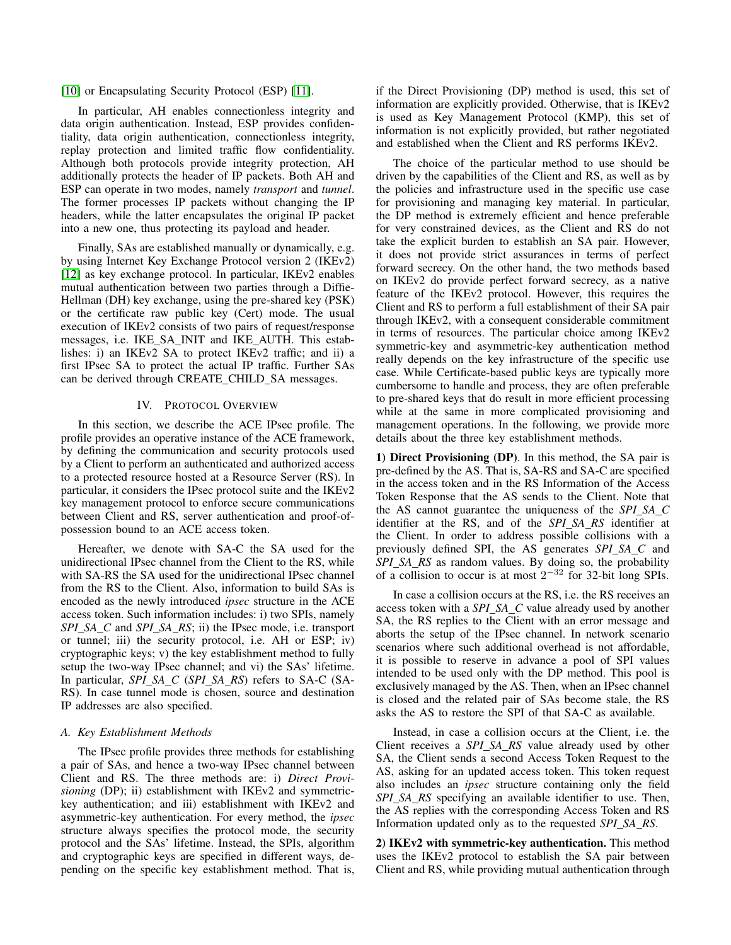[\[10\]](#page-8-9) or Encapsulating Security Protocol (ESP) [\[11\]](#page-8-10).

In particular, AH enables connectionless integrity and data origin authentication. Instead, ESP provides confidentiality, data origin authentication, connectionless integrity, replay protection and limited traffic flow confidentiality. Although both protocols provide integrity protection, AH additionally protects the header of IP packets. Both AH and ESP can operate in two modes, namely *transport* and *tunnel*. The former processes IP packets without changing the IP headers, while the latter encapsulates the original IP packet into a new one, thus protecting its payload and header.

Finally, SAs are established manually or dynamically, e.g. by using Internet Key Exchange Protocol version 2 (IKEv2) [\[12\]](#page-8-11) as key exchange protocol. In particular, IKEv2 enables mutual authentication between two parties through a Diffie-Hellman (DH) key exchange, using the pre-shared key (PSK) or the certificate raw public key (Cert) mode. The usual execution of IKEv2 consists of two pairs of request/response messages, i.e. IKE SA INIT and IKE AUTH. This establishes: i) an IKEv2 SA to protect IKEv2 traffic; and ii) a first IPsec SA to protect the actual IP traffic. Further SAs can be derived through CREATE\_CHILD\_SA messages.

## IV. PROTOCOL OVERVIEW

<span id="page-4-0"></span>In this section, we describe the ACE IPsec profile. The profile provides an operative instance of the ACE framework, by defining the communication and security protocols used by a Client to perform an authenticated and authorized access to a protected resource hosted at a Resource Server (RS). In particular, it considers the IPsec protocol suite and the IKEv2 key management protocol to enforce secure communications between Client and RS, server authentication and proof-ofpossession bound to an ACE access token.

Hereafter, we denote with SA-C the SA used for the unidirectional IPsec channel from the Client to the RS, while with SA-RS the SA used for the unidirectional IPsec channel from the RS to the Client. Also, information to build SAs is encoded as the newly introduced *ipsec* structure in the ACE access token. Such information includes: i) two SPIs, namely *SPI SA C* and *SPI SA RS*; ii) the IPsec mode, i.e. transport or tunnel; iii) the security protocol, i.e. AH or ESP; iv) cryptographic keys; v) the key establishment method to fully setup the two-way IPsec channel; and vi) the SAs' lifetime. In particular, *SPI SA C* (*SPI SA RS*) refers to SA-C (SA-RS). In case tunnel mode is chosen, source and destination IP addresses are also specified.

#### <span id="page-4-1"></span>*A. Key Establishment Methods*

The IPsec profile provides three methods for establishing a pair of SAs, and hence a two-way IPsec channel between Client and RS. The three methods are: i) *Direct Provisioning* (DP); ii) establishment with IKEv2 and symmetrickey authentication; and iii) establishment with IKEv2 and asymmetric-key authentication. For every method, the *ipsec* structure always specifies the protocol mode, the security protocol and the SAs' lifetime. Instead, the SPIs, algorithm and cryptographic keys are specified in different ways, depending on the specific key establishment method. That is, if the Direct Provisioning (DP) method is used, this set of information are explicitly provided. Otherwise, that is IKEv2 is used as Key Management Protocol (KMP), this set of information is not explicitly provided, but rather negotiated and established when the Client and RS performs IKEv2.

The choice of the particular method to use should be driven by the capabilities of the Client and RS, as well as by the policies and infrastructure used in the specific use case for provisioning and managing key material. In particular, the DP method is extremely efficient and hence preferable for very constrained devices, as the Client and RS do not take the explicit burden to establish an SA pair. However, it does not provide strict assurances in terms of perfect forward secrecy. On the other hand, the two methods based on IKEv2 do provide perfect forward secrecy, as a native feature of the IKEv2 protocol. However, this requires the Client and RS to perform a full establishment of their SA pair through IKEv2, with a consequent considerable commitment in terms of resources. The particular choice among IKEv2 symmetric-key and asymmetric-key authentication method really depends on the key infrastructure of the specific use case. While Certificate-based public keys are typically more cumbersome to handle and process, they are often preferable to pre-shared keys that do result in more efficient processing while at the same in more complicated provisioning and management operations. In the following, we provide more details about the three key establishment methods.

1) Direct Provisioning (DP). In this method, the SA pair is pre-defined by the AS. That is, SA-RS and SA-C are specified in the access token and in the RS Information of the Access Token Response that the AS sends to the Client. Note that the AS cannot guarantee the uniqueness of the *SPI SA C* identifier at the RS, and of the *SPI SA RS* identifier at the Client. In order to address possible collisions with a previously defined SPI, the AS generates *SPI SA C* and *SPI SA RS* as random values. By doing so, the probability of a collision to occur is at most  $2^{-32}$  for 32-bit long SPIs.

In case a collision occurs at the RS, i.e. the RS receives an access token with a *SPI SA C* value already used by another SA, the RS replies to the Client with an error message and aborts the setup of the IPsec channel. In network scenario scenarios where such additional overhead is not affordable, it is possible to reserve in advance a pool of SPI values intended to be used only with the DP method. This pool is exclusively managed by the AS. Then, when an IPsec channel is closed and the related pair of SAs become stale, the RS asks the AS to restore the SPI of that SA-C as available.

Instead, in case a collision occurs at the Client, i.e. the Client receives a *SPI SA RS* value already used by other SA, the Client sends a second Access Token Request to the AS, asking for an updated access token. This token request also includes an *ipsec* structure containing only the field *SPI SA RS* specifying an available identifier to use. Then, the AS replies with the corresponding Access Token and RS Information updated only as to the requested *SPI SA RS*.

2) IKEv2 with symmetric-key authentication. This method uses the IKEv2 protocol to establish the SA pair between Client and RS, while providing mutual authentication through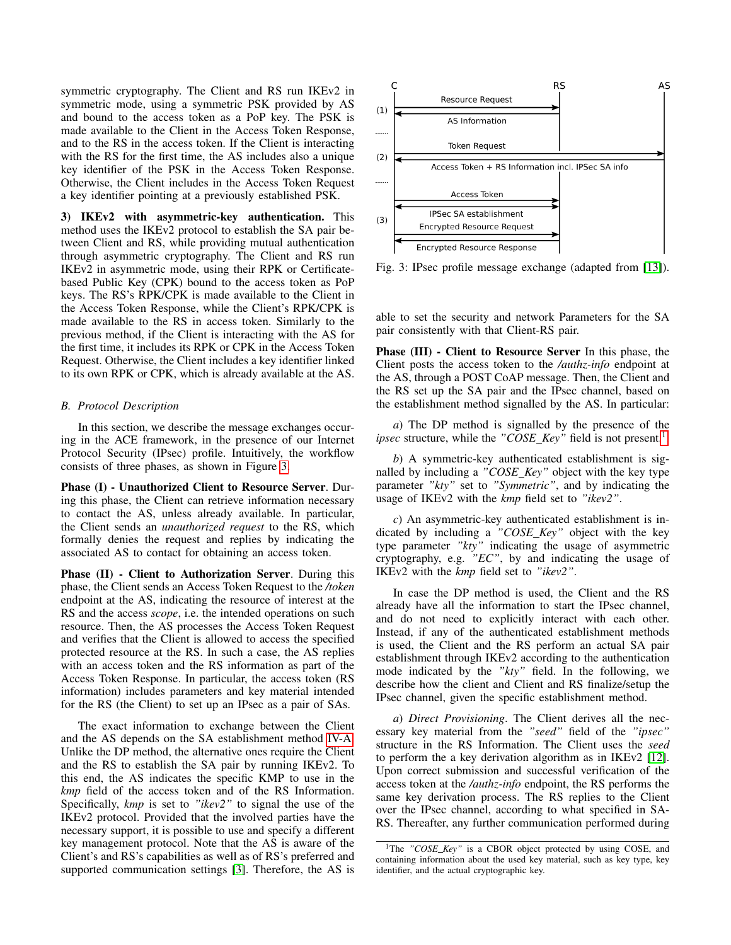symmetric cryptography. The Client and RS run IKEv2 in symmetric mode, using a symmetric PSK provided by AS and bound to the access token as a PoP key. The PSK is made available to the Client in the Access Token Response, and to the RS in the access token. If the Client is interacting with the RS for the first time, the AS includes also a unique key identifier of the PSK in the Access Token Response. Otherwise, the Client includes in the Access Token Request a key identifier pointing at a previously established PSK.

3) IKEv2 with asymmetric-key authentication. This method uses the IKEv2 protocol to establish the SA pair between Client and RS, while providing mutual authentication through asymmetric cryptography. The Client and RS run IKEv2 in asymmetric mode, using their RPK or Certificatebased Public Key (CPK) bound to the access token as PoP keys. The RS's RPK/CPK is made available to the Client in the Access Token Response, while the Client's RPK/CPK is made available to the RS in access token. Similarly to the previous method, if the Client is interacting with the AS for the first time, it includes its RPK or CPK in the Access Token Request. Otherwise, the Client includes a key identifier linked to its own RPK or CPK, which is already available at the AS.

# *B. Protocol Description*

In this section, we describe the message exchanges occuring in the ACE framework, in the presence of our Internet Protocol Security (IPsec) profile. Intuitively, the workflow consists of three phases, as shown in Figure [3.](#page-5-0)

Phase (I) - Unauthorized Client to Resource Server. During this phase, the Client can retrieve information necessary to contact the AS, unless already available. In particular, the Client sends an *unauthorized request* to the RS, which formally denies the request and replies by indicating the associated AS to contact for obtaining an access token.

**Phase (II) - Client to Authorization Server.** During this phase, the Client sends an Access Token Request to the */token* endpoint at the AS, indicating the resource of interest at the RS and the access *scope*, i.e. the intended operations on such resource. Then, the AS processes the Access Token Request and verifies that the Client is allowed to access the specified protected resource at the RS. In such a case, the AS replies with an access token and the RS information as part of the Access Token Response. In particular, the access token (RS information) includes parameters and key material intended for the RS (the Client) to set up an IPsec as a pair of SAs.

The exact information to exchange between the Client and the AS depends on the SA establishment method [IV-A.](#page-4-1) Unlike the DP method, the alternative ones require the Client and the RS to establish the SA pair by running IKEv2. To this end, the AS indicates the specific KMP to use in the *kmp* field of the access token and of the RS Information. Specifically, *kmp* is set to *"ikev2"* to signal the use of the IKEv2 protocol. Provided that the involved parties have the necessary support, it is possible to use and specify a different key management protocol. Note that the AS is aware of the Client's and RS's capabilities as well as of RS's preferred and supported communication settings [\[3\]](#page-8-2). Therefore, the AS is

<span id="page-5-0"></span>

Fig. 3: IPsec profile message exchange (adapted from [\[13\]](#page-8-12)).

able to set the security and network Parameters for the SA pair consistently with that Client-RS pair.

Phase (III) - Client to Resource Server In this phase, the Client posts the access token to the */authz-info* endpoint at the AS, through a POST CoAP message. Then, the Client and the RS set up the SA pair and the IPsec channel, based on the establishment method signalled by the AS. In particular:

*a*) The DP method is signalled by the presence of the *ipsec* structure, while the "COSE\_Key" field is not present.<sup>[1](#page-5-1)</sup>.

*b*) A symmetric-key authenticated establishment is signalled by including a *"COSE Key"* object with the key type parameter *"kty"* set to *"Symmetric"*, and by indicating the usage of IKEv2 with the *kmp* field set to *"ikev2"*.

*c*) An asymmetric-key authenticated establishment is indicated by including a *"COSE Key"* object with the key type parameter *"kty"* indicating the usage of asymmetric cryptography, e.g. *"EC"*, by and indicating the usage of IKEv2 with the *kmp* field set to *"ikev2"*.

In case the DP method is used, the Client and the RS already have all the information to start the IPsec channel, and do not need to explicitly interact with each other. Instead, if any of the authenticated establishment methods is used, the Client and the RS perform an actual SA pair establishment through IKEv2 according to the authentication mode indicated by the *"kty"* field. In the following, we describe how the client and Client and RS finalize/setup the IPsec channel, given the specific establishment method.

*a*) *Direct Provisioning*. The Client derives all the necessary key material from the *"seed"* field of the *"ipsec"* structure in the RS Information. The Client uses the *seed* to perform the a key derivation algorithm as in IKEv2 [\[12\]](#page-8-11). Upon correct submission and successful verification of the access token at the */authz-info* endpoint, the RS performs the same key derivation process. The RS replies to the Client over the IPsec channel, according to what specified in SA-RS. Thereafter, any further communication performed during

<span id="page-5-1"></span><sup>&</sup>lt;sup>1</sup>The "COSE\_Key" is a CBOR object protected by using COSE, and containing information about the used key material, such as key type, key identifier, and the actual cryptographic key.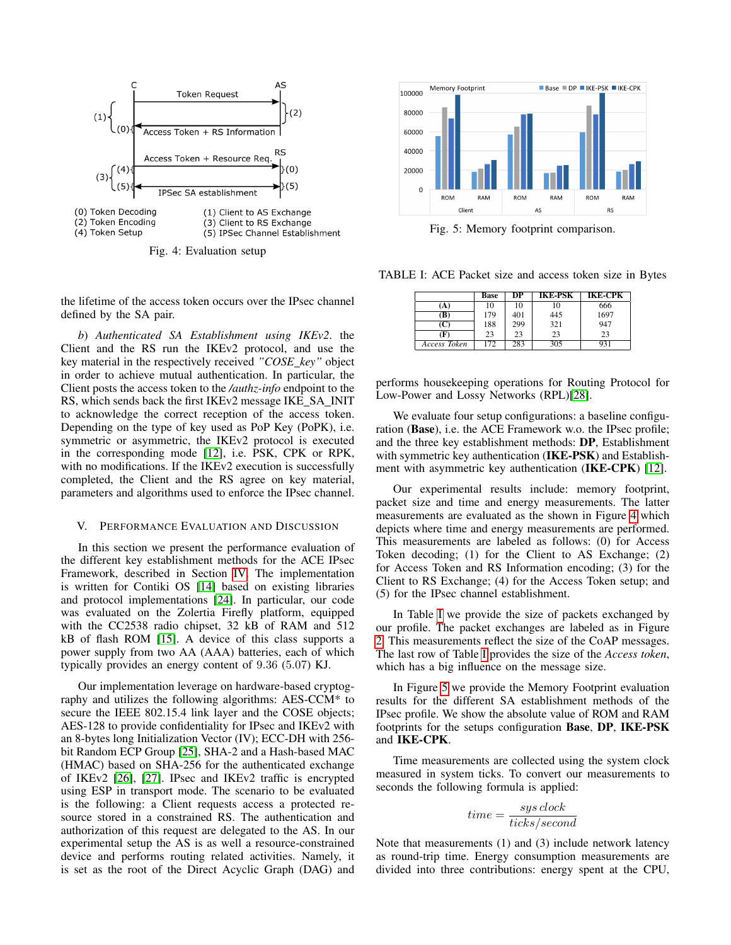<span id="page-6-1"></span>

Fig. 4: Evaluation setup

the lifetime of the access token occurs over the IPsec channel defined by the SA pair.

*b*) *Authenticated SA Establishment using IKEv2*. the Client and the RS run the IKEv2 protocol, and use the key material in the respectively received *"COSE key"* object in order to achieve mutual authentication. In particular, the Client posts the access token to the */authz-info* endpoint to the RS, which sends back the first IKEv2 message IKE SA INIT to acknowledge the correct reception of the access token. Depending on the type of key used as PoP Key (PoPK), i.e. symmetric or asymmetric, the IKEv2 protocol is executed in the corresponding mode [\[12\]](#page-8-11), i.e. PSK, CPK or RPK, with no modifications. If the IKEv2 execution is successfully completed, the Client and the RS agree on key material, parameters and algorithms used to enforce the IPsec channel.

#### <span id="page-6-0"></span>V. PERFORMANCE EVALUATION AND DISCUSSION

In this section we present the performance evaluation of the different key establishment methods for the ACE IPsec Framework, described in Section [IV.](#page-4-0) The implementation is written for Contiki OS [\[14\]](#page-8-13) based on existing libraries and protocol implementations [\[24\]](#page-8-24). In particular, our code was evaluated on the Zolertia Firefly platform, equipped with the CC2538 radio chipset, 32 kB of RAM and 512 kB of flash ROM [\[15\]](#page-8-14). A device of this class supports a power supply from two AA (AAA) batteries, each of which typically provides an energy content of 9.36 (5.07) KJ.

Our implementation leverage on hardware-based cryptography and utilizes the following algorithms: AES-CCM\* to secure the IEEE 802.15.4 link layer and the COSE objects; AES-128 to provide confidentiality for IPsec and IKEv2 with an 8-bytes long Initialization Vector (IV); ECC-DH with 256 bit Random ECP Group [\[25\]](#page-8-25), SHA-2 and a Hash-based MAC (HMAC) based on SHA-256 for the authenticated exchange of IKEv2 [\[26\]](#page-8-26), [\[27\]](#page-8-27). IPsec and IKEv2 traffic is encrypted using ESP in transport mode. The scenario to be evaluated is the following: a Client requests access a protected resource stored in a constrained RS. The authentication and authorization of this request are delegated to the AS. In our experimental setup the AS is as well a resource-constrained device and performs routing related activities. Namely, it is set as the root of the Direct Acyclic Graph (DAG) and

<span id="page-6-3"></span>

Fig. 5: Memory footprint comparison.

<span id="page-6-2"></span>TABLE I: ACE Packet size and access token size in Bytes

|              | Base | DP  | <b>IKE-PSK</b> | <b>IKE-CPK</b> |
|--------------|------|-----|----------------|----------------|
| (A)          | 10   | 10  | 10             | 666            |
| (B)          | 179  | 401 | 445            | 1697           |
| .C           | 188  | 299 | 321            | 947            |
| (F)          | 23   | 23  | 23             | 23             |
| Access Token | 172  | 283 | 305            | 931            |

performs housekeeping operations for Routing Protocol for Low-Power and Lossy Networks (RPL)[\[28\]](#page-8-28).

We evaluate four setup configurations: a baseline configuration (Base), i.e. the ACE Framework w.o. the IPsec profile; and the three key establishment methods: DP, Establishment with symmetric key authentication (**IKE-PSK**) and Establishment with asymmetric key authentication (IKE-CPK) [\[12\]](#page-8-11).

Our experimental results include: memory footprint, packet size and time and energy measurements. The latter measurements are evaluated as the shown in Figure [4](#page-6-1) which depicts where time and energy measurements are performed. This measurements are labeled as follows: (0) for Access Token decoding; (1) for the Client to AS Exchange; (2) for Access Token and RS Information encoding; (3) for the Client to RS Exchange; (4) for the Access Token setup; and (5) for the IPsec channel establishment.

In Table [I](#page-6-2) we provide the size of packets exchanged by our profile. The packet exchanges are labeled as in Figure [2.](#page-3-0) This measurements reflect the size of the CoAP messages. The last row of Table [I](#page-6-2) provides the size of the *Access token*, which has a big influence on the message size.

In Figure [5](#page-6-3) we provide the Memory Footprint evaluation results for the different SA establishment methods of the IPsec profile. We show the absolute value of ROM and RAM footprints for the setups configuration Base, DP, IKE-PSK and IKE-CPK.

Time measurements are collected using the system clock measured in system ticks. To convert our measurements to seconds the following formula is applied:

$$
time = \frac{sys \, clock}{ticks/second}
$$

Note that measurements (1) and (3) include network latency as round-trip time. Energy consumption measurements are divided into three contributions: energy spent at the CPU,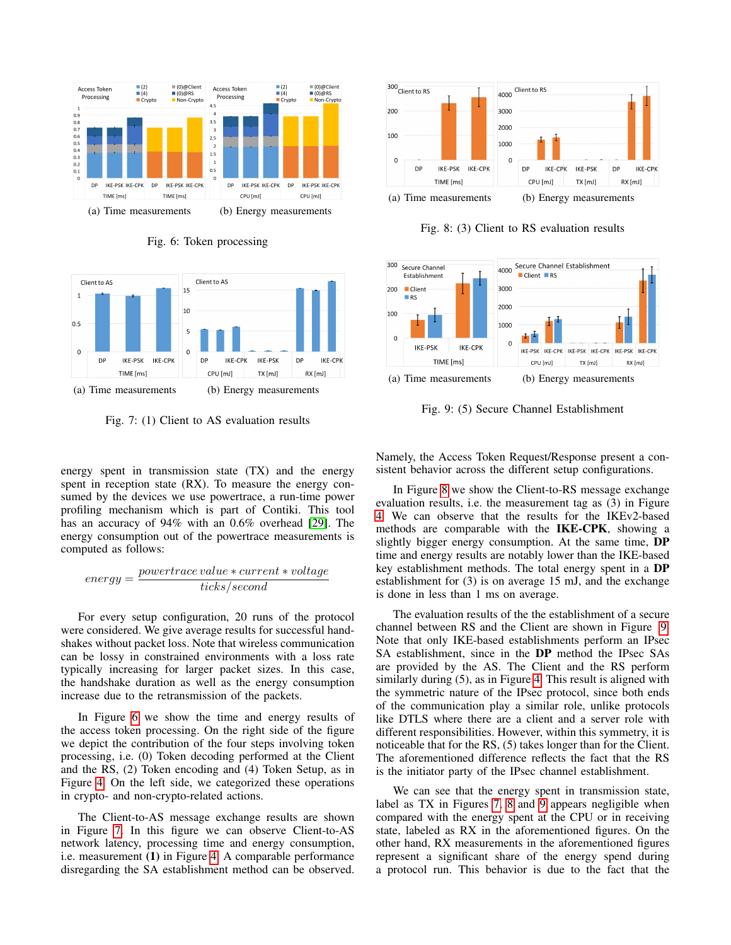<span id="page-7-0"></span>

Fig. 6: Token processing

<span id="page-7-1"></span>

Fig. 7: (1) Client to AS evaluation results

<span id="page-7-2"></span>

Fig. 8: (3) Client to RS evaluation results

<span id="page-7-3"></span>

Fig. 9: (5) Secure Channel Establishment

energy spent in transmission state (TX) and the energy spent in reception state (RX). To measure the energy consumed by the devices we use powertrace, a run-time power profiling mechanism which is part of Contiki. This tool has an accuracy of 94% with an 0.6% overhead [\[29\]](#page-8-29). The energy consumption out of the powertrace measurements is computed as follows:

$$
energy = \frac{powertrace\ value * current * voltage}{ticks/second}
$$

For every setup configuration, 20 runs of the protocol were considered. We give average results for successful handshakes without packet loss. Note that wireless communication can be lossy in constrained environments with a loss rate typically increasing for larger packet sizes. In this case, the handshake duration as well as the energy consumption increase due to the retransmission of the packets.

In Figure [6](#page-7-0) we show the time and energy results of the access token processing. On the right side of the figure we depict the contribution of the four steps involving token processing, i.e. (0) Token decoding performed at the Client and the RS, (2) Token encoding and (4) Token Setup, as in Figure [4.](#page-6-1) On the left side, we categorized these operations in crypto- and non-crypto-related actions.

The Client-to-AS message exchange results are shown in Figure [7.](#page-7-1) In this figure we can observe Client-to-AS network latency, processing time and energy consumption, i.e. measurement (1) in Figure [4.](#page-6-1) A comparable performance disregarding the SA establishment method can be observed. Namely, the Access Token Request/Response present a consistent behavior across the different setup configurations.

In Figure [8](#page-7-2) we show the Client-to-RS message exchange evaluation results, i.e. the measurement tag as (3) in Figure [4.](#page-6-1) We can observe that the results for the IKEv2-based methods are comparable with the IKE-CPK, showing a slightly bigger energy consumption. At the same time, DP time and energy results are notably lower than the IKE-based key establishment methods. The total energy spent in a DP establishment for (3) is on average 15 mJ, and the exchange is done in less than 1 ms on average.

The evaluation results of the the establishment of a secure channel between RS and the Client are shown in Figure [9.](#page-7-3) Note that only IKE-based establishments perform an IPsec SA establishment, since in the DP method the IPsec SAs are provided by the AS. The Client and the RS perform similarly during (5), as in Figure [4.](#page-6-1) This result is aligned with the symmetric nature of the IPsec protocol, since both ends of the communication play a similar role, unlike protocols like DTLS where there are a client and a server role with different responsibilities. However, within this symmetry, it is noticeable that for the RS, (5) takes longer than for the Client. The aforementioned difference reflects the fact that the RS is the initiator party of the IPsec channel establishment.

We can see that the energy spent in transmission state, label as TX in Figures [7,](#page-7-1) [8](#page-7-2) and [9](#page-7-3) appears negligible when compared with the energy spent at the CPU or in receiving state, labeled as RX in the aforementioned figures. On the other hand, RX measurements in the aforementioned figures represent a significant share of the energy spend during a protocol run. This behavior is due to the fact that the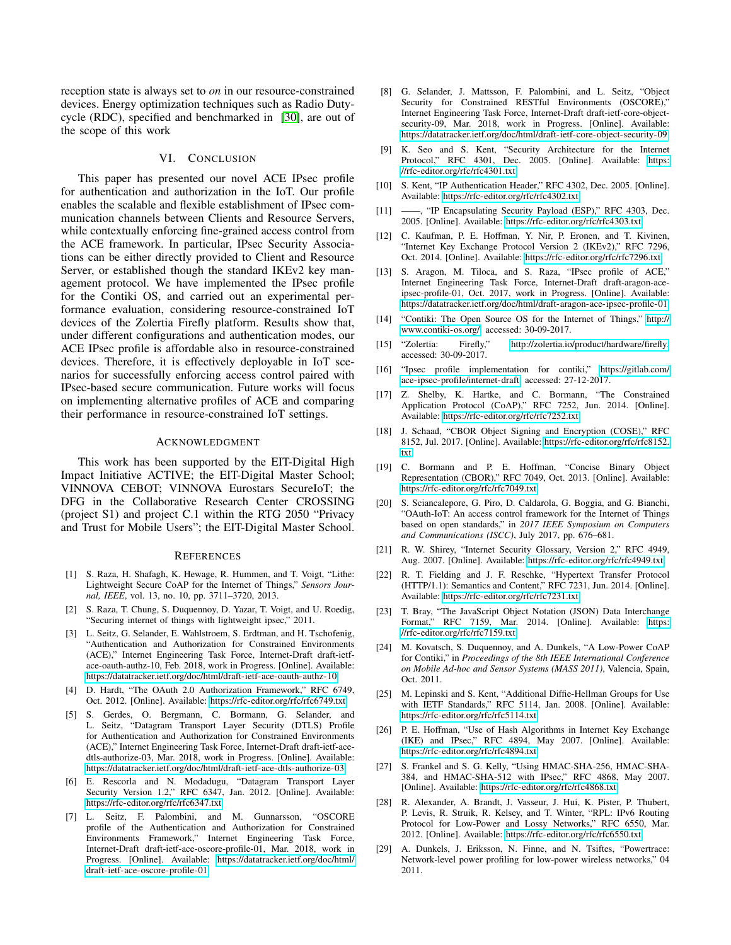reception state is always set to *on* in our resource-constrained devices. Energy optimization techniques such as Radio Dutycycle (RDC), specified and benchmarked in [\[30\]](#page-9-0), are out of the scope of this work

# VI. CONCLUSION

<span id="page-8-16"></span>This paper has presented our novel ACE IPsec profile for authentication and authorization in the IoT. Our profile enables the scalable and flexible establishment of IPsec communication channels between Clients and Resource Servers, while contextually enforcing fine-grained access control from the ACE framework. In particular, IPsec Security Associations can be either directly provided to Client and Resource Server, or established though the standard IKEv2 key management protocol. We have implemented the IPsec profile for the Contiki OS, and carried out an experimental performance evaluation, considering resource-constrained IoT devices of the Zolertia Firefly platform. Results show that, under different configurations and authentication modes, our ACE IPsec profile is affordable also in resource-constrained devices. Therefore, it is effectively deployable in IoT scenarios for successfully enforcing access control paired with IPsec-based secure communication. Future works will focus on implementing alternative profiles of ACE and comparing their performance in resource-constrained IoT settings.

## ACKNOWLEDGMENT

This work has been supported by the EIT-Digital High Impact Initiative ACTIVE; the EIT-Digital Master School; VINNOVA CEBOT; VINNOVA Eurostars SecureIoT; the DFG in the Collaborative Research Center CROSSING (project S1) and project C.1 within the RTG 2050 "Privacy and Trust for Mobile Users"; the EIT-Digital Master School.

#### **REFERENCES**

- <span id="page-8-0"></span>[1] S. Raza, H. Shafagh, K. Hewage, R. Hummen, and T. Voigt, "Lithe: Lightweight Secure CoAP for the Internet of Things," *Sensors Journal, IEEE*, vol. 13, no. 10, pp. 3711–3720, 2013.
- <span id="page-8-1"></span>[2] S. Raza, T. Chung, S. Duquennoy, D. Yazar, T. Voigt, and U. Roedig, "Securing internet of things with lightweight ipsec," 2011.
- <span id="page-8-2"></span>[3] L. Seitz, G. Selander, E. Wahlstroem, S. Erdtman, and H. Tschofenig, "Authentication and Authorization for Constrained Environments (ACE)," Internet Engineering Task Force, Internet-Draft draft-ietface-oauth-authz-10, Feb. 2018, work in Progress. [Online]. Available: <https://datatracker.ietf.org/doc/html/draft-ietf-ace-oauth-authz-10>
- <span id="page-8-3"></span>[4] D. Hardt, "The OAuth 2.0 Authorization Framework," RFC 6749, Oct. 2012. [Online]. Available:<https://rfc-editor.org/rfc/rfc6749.txt>
- <span id="page-8-4"></span>[5] S. Gerdes, O. Bergmann, C. Bormann, G. Selander, and L. Seitz, "Datagram Transport Layer Security (DTLS) Profile for Authentication and Authorization for Constrained Environments (ACE)," Internet Engineering Task Force, Internet-Draft draft-ietf-acedtls-authorize-03, Mar. 2018, work in Progress. [Online]. Available: <https://datatracker.ietf.org/doc/html/draft-ietf-ace-dtls-authorize-03>
- <span id="page-8-5"></span>[6] E. Rescorla and N. Modadugu, "Datagram Transport Layer Security Version 1.2," RFC 6347, Jan. 2012. [Online]. Available: <https://rfc-editor.org/rfc/rfc6347.txt>
- <span id="page-8-6"></span>[7] L. Seitz, F. Palombini, and M. Gunnarsson, "OSCORE profile of the Authentication and Authorization for Constrained Environments Framework," Internet Engineering Task Force, Internet-Draft draft-ietf-ace-oscore-profile-01, Mar. 2018, work in Progress. [Online]. Available: [https://datatracker.ietf.org/doc/html/](https://datatracker.ietf.org/doc/html/draft-ietf-ace-oscore-profile-01) [draft-ietf-ace-oscore-profile-01](https://datatracker.ietf.org/doc/html/draft-ietf-ace-oscore-profile-01)
- <span id="page-8-7"></span>[8] G. Selander, J. Mattsson, F. Palombini, and L. Seitz, "Object Security for Constrained RESTful Environments (OSCORE)," Internet Engineering Task Force, Internet-Draft draft-ietf-core-objectsecurity-09, Mar. 2018, work in Progress. [Online]. Available: <https://datatracker.ietf.org/doc/html/draft-ietf-core-object-security-09>
- <span id="page-8-8"></span>[9] K. Seo and S. Kent, "Security Architecture for the Internet Protocol," RFC 4301, Dec. 2005. [Online]. Available: [https:](https://rfc-editor.org/rfc/rfc4301.txt) [//rfc-editor.org/rfc/rfc4301.txt](https://rfc-editor.org/rfc/rfc4301.txt)
- <span id="page-8-9"></span>[10] S. Kent, "IP Authentication Header," RFC 4302, Dec. 2005. [Online]. Available:<https://rfc-editor.org/rfc/rfc4302.txt>
- <span id="page-8-10"></span>[11] -, "IP Encapsulating Security Payload (ESP)," RFC 4303, Dec. 2005. [Online]. Available:<https://rfc-editor.org/rfc/rfc4303.txt>
- <span id="page-8-11"></span>[12] C. Kaufman, P. E. Hoffman, Y. Nir, P. Eronen, and T. Kivinen, "Internet Key Exchange Protocol Version 2 (IKEv2)," RFC 7296, Oct. 2014. [Online]. Available:<https://rfc-editor.org/rfc/rfc7296.txt>
- <span id="page-8-12"></span>[13] S. Aragon, M. Tiloca, and S. Raza, "IPsec profile of ACE," Internet Engineering Task Force, Internet-Draft draft-aragon-aceipsec-profile-01, Oct. 2017, work in Progress. [Online]. Available: <https://datatracker.ietf.org/doc/html/draft-aragon-ace-ipsec-profile-01>
- <span id="page-8-13"></span>[14] "Contiki: The Open Source OS for the Internet of Things," [http://](http://www.contiki-os.org/) [www.contiki-os.org/,](http://www.contiki-os.org/) accessed: 30-09-2017.
- <span id="page-8-14"></span>[15] "Zolertia: Firefly," [http://zolertia.io/product/hardware/firefly,](http://zolertia.io/product/hardware/firefly) accessed: 30-09-2017.
- <span id="page-8-15"></span>[16] "Ipsec profile implementation for contiki," [https://gitlab.com/](https://gitlab.com/ace-ipsec-profile/internet-draft) [ace-ipsec-profile/internet-draft,](https://gitlab.com/ace-ipsec-profile/internet-draft) accessed: 27-12-2017.
- <span id="page-8-17"></span>[17] Z. Shelby, K. Hartke, and C. Bormann, "The Constrained Application Protocol (CoAP)," RFC 7252, Jun. 2014. [Online]. Available:<https://rfc-editor.org/rfc/rfc7252.txt>
- <span id="page-8-18"></span>[18] J. Schaad, "CBOR Object Signing and Encryption (COSE)," RFC 8152, Jul. 2017. [Online]. Available: [https://rfc-editor.org/rfc/rfc8152.](https://rfc-editor.org/rfc/rfc8152.txt) [txt](https://rfc-editor.org/rfc/rfc8152.txt)
- <span id="page-8-19"></span>[19] C. Bormann and P. E. Hoffman, "Concise Binary Object Representation (CBOR)," RFC 7049, Oct. 2013. [Online]. Available: <https://rfc-editor.org/rfc/rfc7049.txt>
- <span id="page-8-20"></span>[20] S. Sciancalepore, G. Piro, D. Caldarola, G. Boggia, and G. Bianchi, "OAuth-IoT: An access control framework for the Internet of Things based on open standards," in *2017 IEEE Symposium on Computers and Communications (ISCC)*, July 2017, pp. 676–681.
- <span id="page-8-21"></span>[21] R. W. Shirey, "Internet Security Glossary, Version 2," RFC 4949, Aug. 2007. [Online]. Available:<https://rfc-editor.org/rfc/rfc4949.txt>
- <span id="page-8-22"></span>[22] R. T. Fielding and J. F. Reschke, "Hypertext Transfer Protocol (HTTP/1.1): Semantics and Content," RFC 7231, Jun. 2014. [Online]. Available:<https://rfc-editor.org/rfc/rfc7231.txt>
- <span id="page-8-23"></span>[23] T. Bray, "The JavaScript Object Notation (JSON) Data Interchange Format," RFC 7159, Mar. 2014. [Online]. Available: [https:](https://rfc-editor.org/rfc/rfc7159.txt) [//rfc-editor.org/rfc/rfc7159.txt](https://rfc-editor.org/rfc/rfc7159.txt)
- <span id="page-8-24"></span>[24] M. Kovatsch, S. Duquennoy, and A. Dunkels, "A Low-Power CoAP for Contiki," in *Proceedings of the 8th IEEE International Conference on Mobile Ad-hoc and Sensor Systems (MASS 2011)*, Valencia, Spain, Oct. 2011.
- <span id="page-8-25"></span>[25] M. Lepinski and S. Kent, "Additional Diffie-Hellman Groups for Use with IETF Standards," RFC 5114, Jan. 2008. [Online]. Available: <https://rfc-editor.org/rfc/rfc5114.txt>
- <span id="page-8-26"></span>[26] P. E. Hoffman, "Use of Hash Algorithms in Internet Key Exchange (IKE) and IPsec," RFC 4894, May 2007. [Online]. Available: <https://rfc-editor.org/rfc/rfc4894.txt>
- <span id="page-8-27"></span>[27] S. Frankel and S. G. Kelly, "Using HMAC-SHA-256, HMAC-SHA-384, and HMAC-SHA-512 with IPsec," RFC 4868, May 2007. [Online]. Available:<https://rfc-editor.org/rfc/rfc4868.txt>
- <span id="page-8-28"></span>[28] R. Alexander, A. Brandt, J. Vasseur, J. Hui, K. Pister, P. Thubert, P. Levis, R. Struik, R. Kelsey, and T. Winter, "RPL: IPv6 Routing Protocol for Low-Power and Lossy Networks," RFC 6550, Mar. 2012. [Online]. Available:<https://rfc-editor.org/rfc/rfc6550.txt>
- <span id="page-8-29"></span>[29] A. Dunkels, J. Eriksson, N. Finne, and N. Tsiftes, "Powertrace: Network-level power profiling for low-power wireless networks," 04 2011.